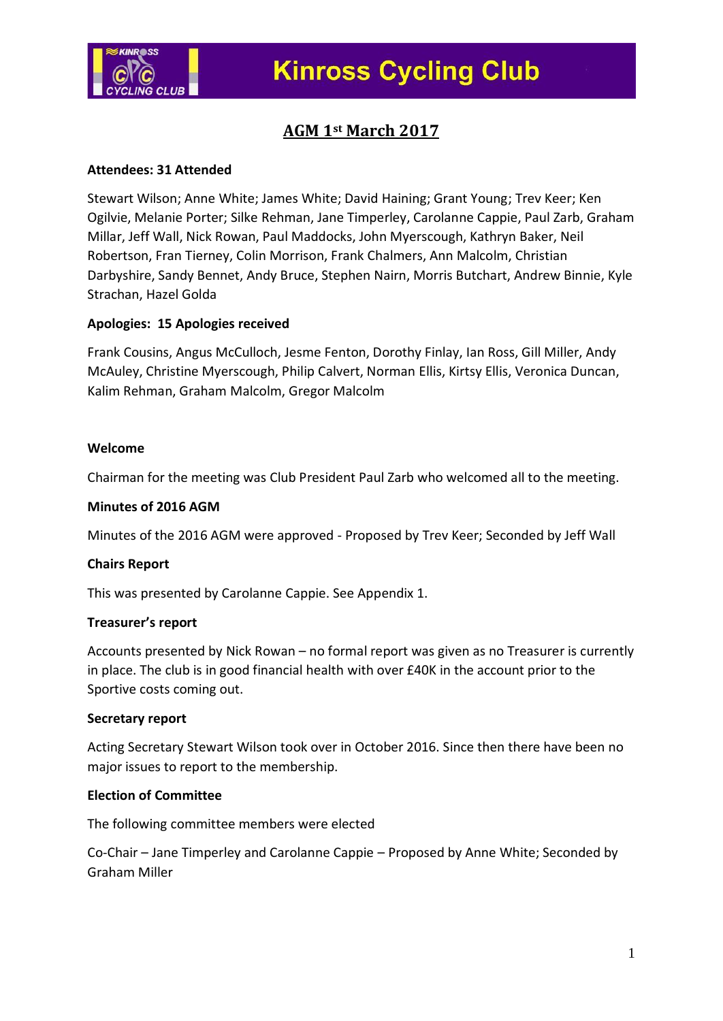

## **AGM 1st March 2017**

#### **Attendees: 31 Attended**

Stewart Wilson; Anne White; James White; David Haining; Grant Young; Trev Keer; Ken Ogilvie, Melanie Porter; Silke Rehman, Jane Timperley, Carolanne Cappie, Paul Zarb, Graham Millar, Jeff Wall, Nick Rowan, Paul Maddocks, John Myerscough, Kathryn Baker, Neil Robertson, Fran Tierney, Colin Morrison, Frank Chalmers, Ann Malcolm, Christian Darbyshire, Sandy Bennet, Andy Bruce, Stephen Nairn, Morris Butchart, Andrew Binnie, Kyle Strachan, Hazel Golda

### **Apologies: 15 Apologies received**

Frank Cousins, Angus McCulloch, Jesme Fenton, Dorothy Finlay, Ian Ross, Gill Miller, Andy McAuley, Christine Myerscough, Philip Calvert, Norman Ellis, Kirtsy Ellis, Veronica Duncan, Kalim Rehman, Graham Malcolm, Gregor Malcolm

#### **Welcome**

Chairman for the meeting was Club President Paul Zarb who welcomed all to the meeting.

#### **Minutes of 2016 AGM**

Minutes of the 2016 AGM were approved - Proposed by Trev Keer; Seconded by Jeff Wall

#### **Chairs Report**

This was presented by Carolanne Cappie. See Appendix 1.

#### **Treasurer's report**

Accounts presented by Nick Rowan – no formal report was given as no Treasurer is currently in place. The club is in good financial health with over £40K in the account prior to the Sportive costs coming out.

#### **Secretary report**

Acting Secretary Stewart Wilson took over in October 2016. Since then there have been no major issues to report to the membership.

### **Election of Committee**

The following committee members were elected

Co-Chair – Jane Timperley and Carolanne Cappie – Proposed by Anne White; Seconded by Graham Miller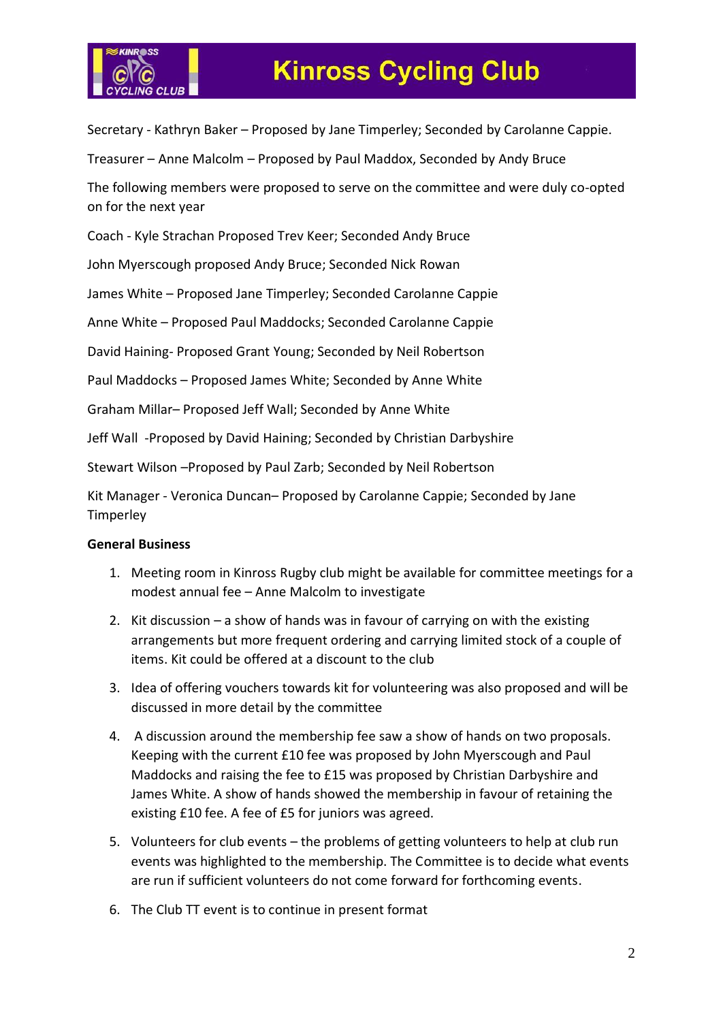

# **Kinross Cycling Club**

Secretary - Kathryn Baker – Proposed by Jane Timperley; Seconded by Carolanne Cappie.

Treasurer – Anne Malcolm – Proposed by Paul Maddox, Seconded by Andy Bruce

The following members were proposed to serve on the committee and were duly co-opted on for the next year

Coach - Kyle Strachan Proposed Trev Keer; Seconded Andy Bruce

John Myerscough proposed Andy Bruce; Seconded Nick Rowan

James White – Proposed Jane Timperley; Seconded Carolanne Cappie

Anne White – Proposed Paul Maddocks; Seconded Carolanne Cappie

David Haining- Proposed Grant Young; Seconded by Neil Robertson

Paul Maddocks – Proposed James White; Seconded by Anne White

Graham Millar– Proposed Jeff Wall; Seconded by Anne White

Jeff Wall -Proposed by David Haining; Seconded by Christian Darbyshire

Stewart Wilson –Proposed by Paul Zarb; Seconded by Neil Robertson

Kit Manager - Veronica Duncan– Proposed by Carolanne Cappie; Seconded by Jane **Timperley** 

#### **General Business**

- 1. Meeting room in Kinross Rugby club might be available for committee meetings for a modest annual fee – Anne Malcolm to investigate
- 2. Kit discussion a show of hands was in favour of carrying on with the existing arrangements but more frequent ordering and carrying limited stock of a couple of items. Kit could be offered at a discount to the club
- 3. Idea of offering vouchers towards kit for volunteering was also proposed and will be discussed in more detail by the committee
- 4. A discussion around the membership fee saw a show of hands on two proposals. Keeping with the current £10 fee was proposed by John Myerscough and Paul Maddocks and raising the fee to £15 was proposed by Christian Darbyshire and James White. A show of hands showed the membership in favour of retaining the existing £10 fee. A fee of £5 for juniors was agreed.
- 5. Volunteers for club events the problems of getting volunteers to help at club run events was highlighted to the membership. The Committee is to decide what events are run if sufficient volunteers do not come forward for forthcoming events.
- 6. The Club TT event is to continue in present format